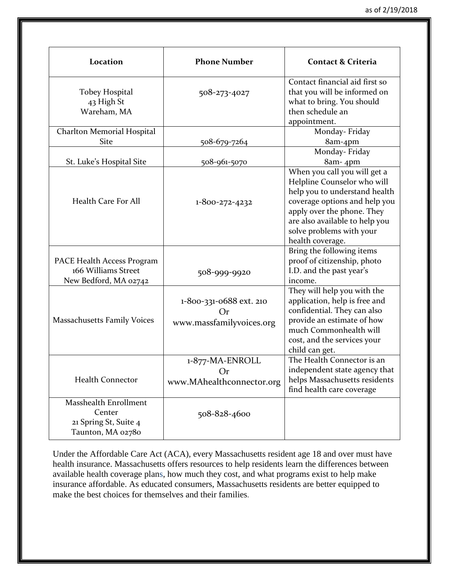| Location                                                                      | <b>Phone Number</b>                                       | <b>Contact &amp; Criteria</b>                                                                                                                                                                                                                 |
|-------------------------------------------------------------------------------|-----------------------------------------------------------|-----------------------------------------------------------------------------------------------------------------------------------------------------------------------------------------------------------------------------------------------|
| <b>Tobey Hospital</b><br>43 High St<br>Wareham, MA                            | 508-273-4027                                              | Contact financial aid first so<br>that you will be informed on<br>what to bring. You should<br>then schedule an<br>appointment.                                                                                                               |
| <b>Charlton Memorial Hospital</b><br><b>Site</b>                              | 508-679-7264                                              | Monday-Friday<br>8am-4pm                                                                                                                                                                                                                      |
| St. Luke's Hospital Site                                                      | 508-961-5070                                              | Monday-Friday<br>8am-4pm                                                                                                                                                                                                                      |
| <b>Health Care For All</b>                                                    | $1 - 800 - 272 - 4232$                                    | When you call you will get a<br>Helpline Counselor who will<br>help you to understand health<br>coverage options and help you<br>apply over the phone. They<br>are also available to help you<br>solve problems with your<br>health coverage. |
| PACE Health Access Program<br>166 Williams Street<br>New Bedford, MA 02742    | 508-999-9920                                              | Bring the following items<br>proof of citizenship, photo<br>I.D. and the past year's<br>income.                                                                                                                                               |
| <b>Massachusetts Family Voices</b>                                            | 1-800-331-0688 ext. 210<br>Or<br>www.massfamilyvoices.org | They will help you with the<br>application, help is free and<br>confidential. They can also<br>provide an estimate of how<br>much Commonhealth will<br>cost, and the services your<br>child can get.                                          |
| <b>Health Connector</b>                                                       | 1-877-MA-ENROLL<br>Or<br>www.MAhealthconnector.org        | The Health Connector is an<br>independent state agency that<br>helps Massachusetts residents<br>find health care coverage                                                                                                                     |
| Masshealth Enrollment<br>Center<br>21 Spring St, Suite 4<br>Taunton, MA 02780 | 508-828-4600                                              |                                                                                                                                                                                                                                               |

Under the Affordable Care Act (ACA), every Massachusetts resident age 18 and over must have health insurance. Massachusetts offers resources to help residents learn the differences between available health coverage plans, how much they cost, and what programs exist to help make insurance affordable. As educated consumers, Massachusetts residents are better equipped to make the best choices for themselves and their families.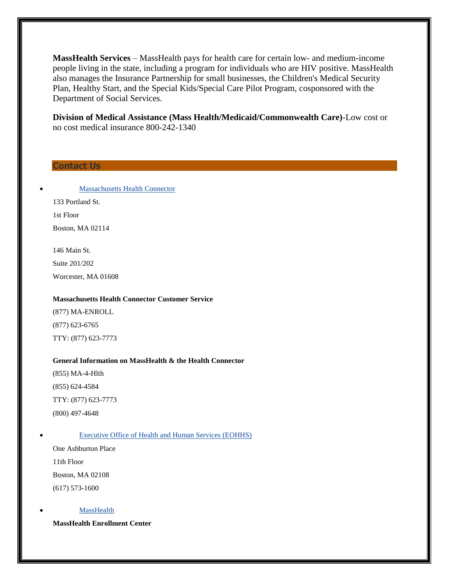**[MassHealth Services](http://www.mass.gov/?pageID=eohhs2terminal&L=4&L0=Home&L1=Government&L2=Departments+and+Divisions&L3=MassHealth&sid=Eeohhs2&b=terminalcontent&f=masshealth_government_about_programs&csid=Eeohhs2)** – MassHealth pays for health care for certain low- and medium-income people living in the state, including a program for individuals who are HIV positive. MassHealth also manages the Insurance Partnership for small businesses, the Children's Medical Security Plan, Healthy Start, and the Special Kids/Special Care Pilot Program, cosponsored with the Department of Social Services.

**Division of Medical Assistance (Mass Health/Medicaid/Commonwealth Care)**-Low cost or no cost medical insurance 800-242-1340

### **Contact Us**

 [Massachusetts Health Connector](https://www.mahealthconnector.org/) 133 Portland St. 1st Floor Boston, MA 02114

146 Main St. Suite 201/202 Worcester, MA 01608

#### **Massachusetts Health Connector Customer Service**

(877) MA-ENROLL (877) 623-6765 TTY: (877) 623-7773

### **General Information on MassHealth & the Health Connector**

(855) MA-4-Hlth (855) 624-4584 TTY: (877) 623-7773 (800) 497-4648

#### [Executive Office of Health and Human Services \(EOHHS\)](http://www.mass.gov/eohhs/utility/contact-us.html)

One Ashburton Place 11th Floor Boston, MA 02108 (617) 573-1600

## **[MassHealth](http://www.mass.gov/eohhs/gov/departments/masshealth/)**

**MassHealth Enrollment Center**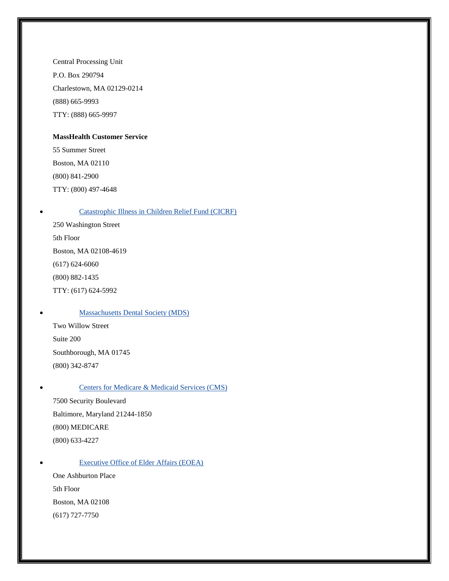Central Processing Unit P.O. Box 290794 Charlestown, MA 02129-0214 (888) 665-9993 TTY: (888) 665-9997

## **MassHealth Customer Service**

55 Summer Street Boston, MA 02110 (800) 841-2900 TTY: (800) 497-4648

# [Catastrophic Illness in Children Relief Fund \(CICRF\)](http://www.mass.gov/eohhs/gov/departments/dph/programs/family-health/cicrf/)

250 Washington Street 5th Floor Boston, MA 02108-4619 (617) 624-6060 (800) 882-1435 TTY: (617) 624-5992

# [Massachusetts Dental Society \(MDS\)](http://www.massdental.org/)

Two Willow Street Suite 200 Southborough, MA 01745 (800) 342-8747

 [Centers for Medicare & Medicaid Services \(CMS\)](http://www.cms.gov/) 7500 Security Boulevard Baltimore, Maryland 21244-1850 (800) MEDICARE (800) 633-4227

[Executive Office of Elder Affairs \(EOEA\)](http://www.mass.gov/elders)

One Ashburton Place 5th Floor Boston, MA 02108 (617) 727-7750